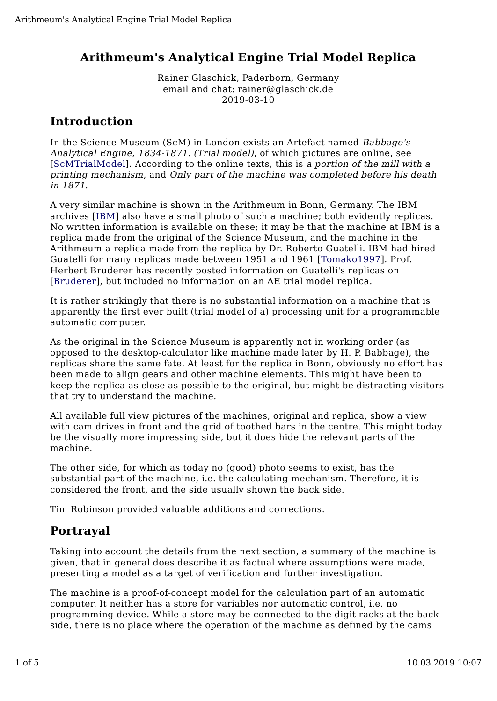## **Arithmeum's Analytical Engine Trial Model Replica**

Rainer Glaschick, Paderborn, Germany email and chat: rainer@glaschick.de 2019-03-10

# **Introduction**

In the Science Museum (ScM) in London exists an Artefact named Babbage's Analytical Engine, 1834-1871. (Trial model), of which pictures are online, see [ScMTrialModel]. According to the online texts, this is a portion of the mill with a printing mechanism, and Only part of the machine was completed before his death in 1871.

A very similar machine is shown in the Arithmeum in Bonn, Germany. The IBM archives [IBM] also have a small photo of such a machine; both evidently replicas. No written information is available on these; it may be that the machine at IBM is a replica made from the original of the Science Museum, and the machine in the Arithmeum a replica made from the replica by Dr. Roberto Guatelli. IBM had hired Guatelli for many replicas made between 1951 and 1961 [Tomako1997]. Prof. Herbert Bruderer has recently posted information on Guatelli's replicas on [Bruderer], but included no information on an AE trial model replica.

It is rather strikingly that there is no substantial information on a machine that is apparently the first ever built (trial model of a) processing unit for a programmable automatic computer.

As the original in the Science Museum is apparently not in working order (as opposed to the desktop-calculator like machine made later by H. P. Babbage), the replicas share the same fate. At least for the replica in Bonn, obviously no effort has been made to align gears and other machine elements. This might have been to keep the replica as close as possible to the original, but might be distracting visitors that try to understand the machine.

All available full view pictures of the machines, original and replica, show a view with cam drives in front and the grid of toothed bars in the centre. This might today be the visually more impressing side, but it does hide the relevant parts of the machine.

The other side, for which as today no (good) photo seems to exist, has the substantial part of the machine, i.e. the calculating mechanism. Therefore, it is considered the front, and the side usually shown the back side.

Tim Robinson provided valuable additions and corrections.

# **Portrayal**

Taking into account the details from the next section, a summary of the machine is given, that in general does describe it as factual where assumptions were made, presenting a model as a target of verification and further investigation.

The machine is a proof-of-concept model for the calculation part of an automatic computer. It neither has a store for variables nor automatic control, i.e. no programming device. While a store may be connected to the digit racks at the back side, there is no place where the operation of the machine as defined by the cams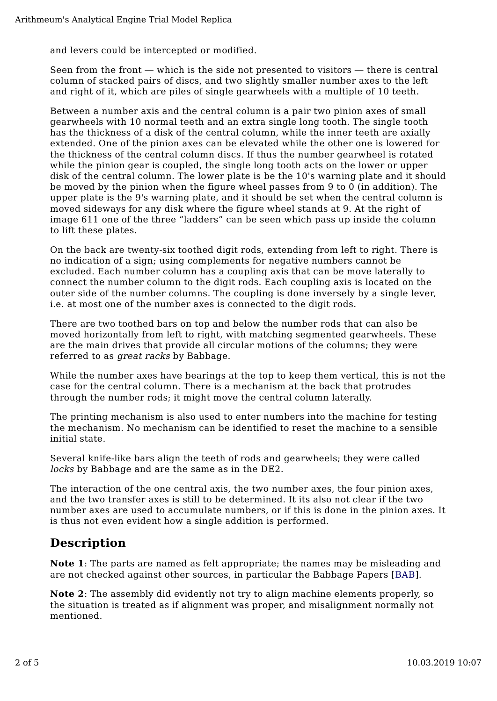and levers could be intercepted or modified.

Seen from the front — which is the side not presented to visitors — there is central column of stacked pairs of discs, and two slightly smaller number axes to the left and right of it, which are piles of single gearwheels with a multiple of 10 teeth.

Between a number axis and the central column is a pair two pinion axes of small gearwheels with 10 normal teeth and an extra single long tooth. The single tooth has the thickness of a disk of the central column, while the inner teeth are axially extended. One of the pinion axes can be elevated while the other one is lowered for the thickness of the central column discs. If thus the number gearwheel is rotated while the pinion gear is coupled, the single long tooth acts on the lower or upper disk of the central column. The lower plate is be the 10's warning plate and it should be moved by the pinion when the figure wheel passes from 9 to 0 (in addition). The upper plate is the 9's warning plate, and it should be set when the central column is moved sideways for any disk where the figure wheel stands at 9. At the right of image 611 one of the three "ladders" can be seen which pass up inside the column to lift these plates.

On the back are twenty-six toothed digit rods, extending from left to right. There is no indication of a sign; using complements for negative numbers cannot be excluded. Each number column has a coupling axis that can be move laterally to connect the number column to the digit rods. Each coupling axis is located on the outer side of the number columns. The coupling is done inversely by a single lever, i.e. at most one of the number axes is connected to the digit rods.

There are two toothed bars on top and below the number rods that can also be moved horizontally from left to right, with matching segmented gearwheels. These are the main drives that provide all circular motions of the columns; they were referred to as great racks by Babbage.

While the number axes have bearings at the top to keep them vertical, this is not the case for the central column. There is a mechanism at the back that protrudes through the number rods; it might move the central column laterally.

The printing mechanism is also used to enter numbers into the machine for testing the mechanism. No mechanism can be identified to reset the machine to a sensible initial state.

Several knife-like bars align the teeth of rods and gearwheels; they were called locks by Babbage and are the same as in the DE2.

The interaction of the one central axis, the two number axes, the four pinion axes, and the two transfer axes is still to be determined. It its also not clear if the two number axes are used to accumulate numbers, or if this is done in the pinion axes. It is thus not even evident how a single addition is performed.

# **Description**

**Note 1**: The parts are named as felt appropriate; the names may be misleading and are not checked against other sources, in particular the Babbage Papers [BAB].

**Note 2**: The assembly did evidently not try to align machine elements properly, so the situation is treated as if alignment was proper, and misalignment normally not mentioned.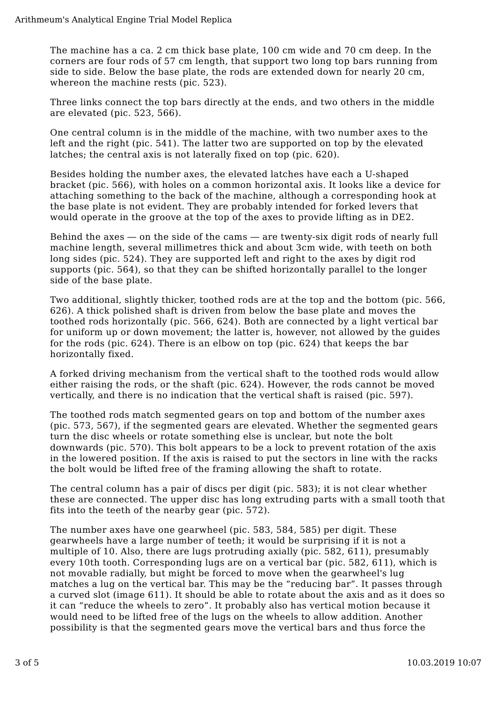The machine has a ca. 2 cm thick base plate, 100 cm wide and 70 cm deep. In the corners are four rods of 57 cm length, that support two long top bars running from side to side. Below the base plate, the rods are extended down for nearly 20 cm, whereon the machine rests (pic. 523).

Three links connect the top bars directly at the ends, and two others in the middle are elevated (pic. 523, 566).

One central column is in the middle of the machine, with two number axes to the left and the right (pic. 541). The latter two are supported on top by the elevated latches; the central axis is not laterally fixed on top (pic. 620).

Besides holding the number axes, the elevated latches have each a U-shaped bracket (pic. 566), with holes on a common horizontal axis. It looks like a device for attaching something to the back of the machine, although a corresponding hook at the base plate is not evident. They are probably intended for forked levers that would operate in the groove at the top of the axes to provide lifting as in DE2.

Behind the axes — on the side of the cams — are twenty-six digit rods of nearly full machine length, several millimetres thick and about 3cm wide, with teeth on both long sides (pic. 524). They are supported left and right to the axes by digit rod supports (pic. 564), so that they can be shifted horizontally parallel to the longer side of the base plate.

Two additional, slightly thicker, toothed rods are at the top and the bottom (pic. 566, 626). A thick polished shaft is driven from below the base plate and moves the toothed rods horizontally (pic. 566, 624). Both are connected by a light vertical bar for uniform up or down movement; the latter is, however, not allowed by the guides for the rods (pic. 624). There is an elbow on top (pic. 624) that keeps the bar horizontally fixed.

A forked driving mechanism from the vertical shaft to the toothed rods would allow either raising the rods, or the shaft (pic. 624). However, the rods cannot be moved vertically, and there is no indication that the vertical shaft is raised (pic. 597).

The toothed rods match segmented gears on top and bottom of the number axes (pic. 573, 567), if the segmented gears are elevated. Whether the segmented gears turn the disc wheels or rotate something else is unclear, but note the bolt downwards (pic. 570). This bolt appears to be a lock to prevent rotation of the axis in the lowered position. If the axis is raised to put the sectors in line with the racks the bolt would be lifted free of the framing allowing the shaft to rotate.

The central column has a pair of discs per digit (pic. 583); it is not clear whether these are connected. The upper disc has long extruding parts with a small tooth that fits into the teeth of the nearby gear (pic. 572).

The number axes have one gearwheel (pic. 583, 584, 585) per digit. These gearwheels have a large number of teeth; it would be surprising if it is not a multiple of 10. Also, there are lugs protruding axially (pic. 582, 611), presumably every 10th tooth. Corresponding lugs are on a vertical bar (pic. 582, 611), which is not movable radially, but might be forced to move when the gearwheel's lug matches a lug on the vertical bar. This may be the "reducing bar". It passes through a curved slot (image 611). It should be able to rotate about the axis and as it does so it can "reduce the wheels to zero". It probably also has vertical motion because it would need to be lifted free of the lugs on the wheels to allow addition. Another possibility is that the segmented gears move the vertical bars and thus force the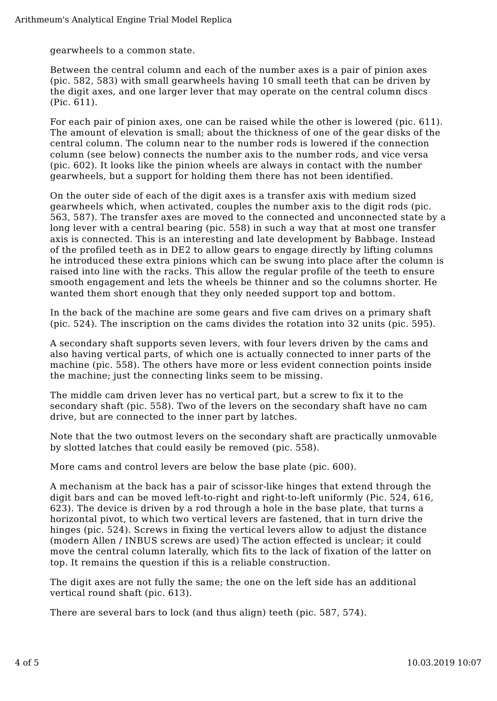gearwheels to a common state.

Between the central column and each of the number axes is a pair of pinion axes (pic. 582, 583) with small gearwheels having 10 small teeth that can be driven by the digit axes, and one larger lever that may operate on the central column discs (Pic. 611).

For each pair of pinion axes, one can be raised while the other is lowered (pic. 611). The amount of elevation is small; about the thickness of one of the gear disks of the central column. The column near to the number rods is lowered if the connection column (see below) connects the number axis to the number rods, and vice versa (pic. 602). It looks like the pinion wheels are always in contact with the number gearwheels, but a support for holding them there has not been identified.

On the outer side of each of the digit axes is a transfer axis with medium sized gearwheels which, when activated, couples the number axis to the digit rods (pic. 563, 587). The transfer axes are moved to the connected and unconnected state by a long lever with a central bearing (pic. 558) in such a way that at most one transfer axis is connected. This is an interesting and late development by Babbage. Instead of the profiled teeth as in DE2 to allow gears to engage directly by lifting columns he introduced these extra pinions which can be swung into place after the column is raised into line with the racks. This allow the regular profile of the teeth to ensure smooth engagement and lets the wheels be thinner and so the columns shorter. He wanted them short enough that they only needed support top and bottom.

In the back of the machine are some gears and five cam drives on a primary shaft (pic. 524). The inscription on the cams divides the rotation into 32 units (pic. 595).

A secondary shaft supports seven levers, with four levers driven by the cams and also having vertical parts, of which one is actually connected to inner parts of the machine (pic. 558). The others have more or less evident connection points inside the machine; just the connecting links seem to be missing.

The middle cam driven lever has no vertical part, but a screw to fix it to the secondary shaft (pic. 558). Two of the levers on the secondary shaft have no cam drive, but are connected to the inner part by latches.

Note that the two outmost levers on the secondary shaft are practically unmovable by slotted latches that could easily be removed (pic. 558).

More cams and control levers are below the base plate (pic. 600).

A mechanism at the back has a pair of scissor-like hinges that extend through the digit bars and can be moved left-to-right and right-to-left uniformly (Pic. 524, 616, 623). The device is driven by a rod through a hole in the base plate, that turns a horizontal pivot, to which two vertical levers are fastened, that in turn drive the hinges (pic. 524). Screws in fixing the vertical levers allow to adjust the distance (modern Allen / INBUS screws are used) The action effected is unclear; it could move the central column laterally, which fits to the lack of fixation of the latter on top. It remains the question if this is a reliable construction.

The digit axes are not fully the same; the one on the left side has an additional vertical round shaft (pic. 613).

There are several bars to lock (and thus align) teeth (pic. 587, 574).